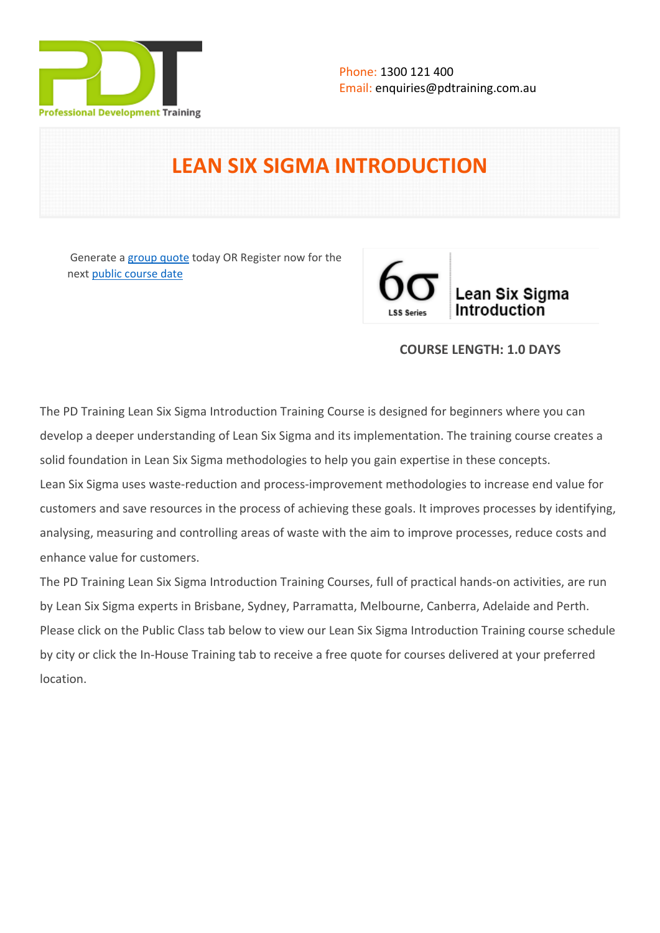

# **LEAN SIX SIGMA INTRODUCTION**

 Generate a [group quote](https://pdtraining.com.au/inhouse-training-quote?cse=PDT0047) today OR Register now for the next [public course date](https://pdtraining.com.au/booking?schedulecode=yOihDhQz0OrZ1MV7GApCrXsx1jQYXSnpM64ASs1ZdRKzAeeDfOBZvArJvUptA1MiAcn4SupoJzxJn37XfnSjqx4mPue8cIxmfB8x1jUUxnq5cSvCWBnniC1cibpxqqlbamEW4J66C8Udi8j69MlLul&countryCode=AU¤cyCode=AU)



## **COURSE LENGTH: 1.0 DAYS**

The PD Training Lean Six Sigma Introduction Training Course is designed for beginners where you can develop a deeper understanding of Lean Six Sigma and its implementation. The training course creates a solid foundation in Lean Six Sigma methodologies to help you gain expertise in these concepts. Lean Six Sigma uses waste-reduction and process-improvement methodologies to increase end value for customers and save resources in the process of achieving these goals. It improves processes by identifying, analysing, measuring and controlling areas of waste with the aim to improve processes, reduce costs and enhance value for customers.

The PD Training Lean Six Sigma Introduction Training Courses, full of practical hands-on activities, are run by Lean Six Sigma experts in Brisbane, Sydney, Parramatta, Melbourne, Canberra, Adelaide and Perth. Please click on the Public Class tab below to view our Lean Six Sigma Introduction Training course schedule by city or click the In-House Training tab to receive a free quote for courses delivered at your preferred location.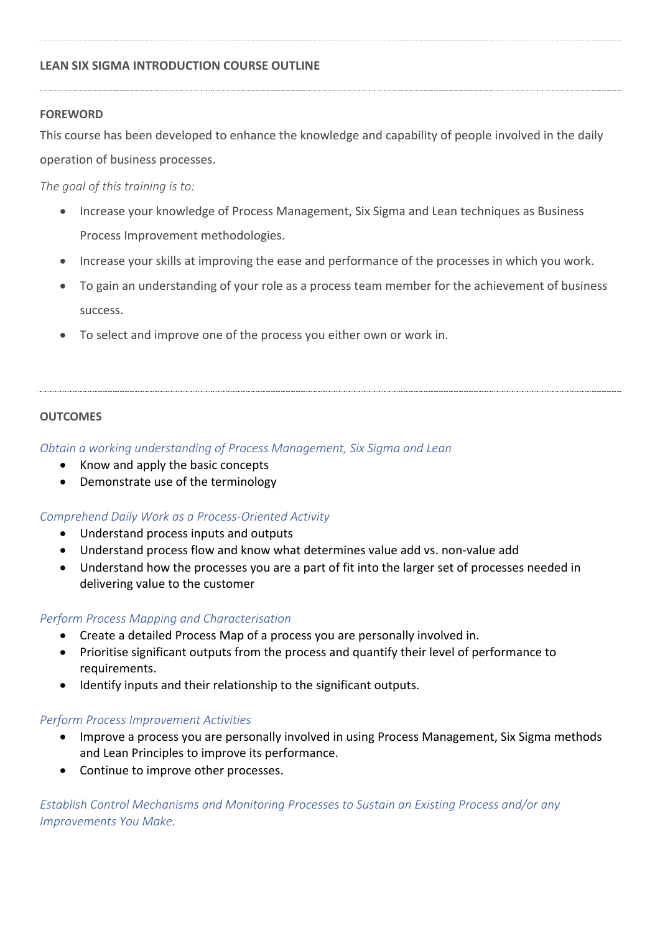## **LEAN SIX SIGMA INTRODUCTION COURSE OUTLINE**

## **FOREWORD**

This course has been developed to enhance the knowledge and capability of people involved in the daily operation of business processes.

*The goal of this training is to:*

- Increase your knowledge of Process Management, Six Sigma and Lean techniques as Business Process Improvement methodologies.
- Increase your skills at improving the ease and performance of the processes in which you work.
- To gain an understanding of your role as a process team member for the achievement of business success.
- To select and improve one of the process you either own or work in.

## **OUTCOMES**

*Obtain a working understanding of Process Management, Six Sigma and Lean*

- Know and apply the basic concepts
- Demonstrate use of the terminology

## *Comprehend Daily Work as a Process-Oriented Activity*

- Understand process inputs and outputs
- Understand process flow and know what determines value add vs. non-value add
- Understand how the processes you are a part of fit into the larger set of processes needed in delivering value to the customer

## *Perform Process Mapping and Characterisation*

- Create a detailed Process Map of a process you are personally involved in.
- Prioritise significant outputs from the process and quantify their level of performance to requirements.
- Identify inputs and their relationship to the significant outputs.

## *Perform Process Improvement Activities*

- Improve a process you are personally involved in using Process Management, Six Sigma methods and Lean Principles to improve its performance.
- Continue to improve other processes.

*Establish Control Mechanisms and Monitoring Processes to Sustain an Existing Process and/or any Improvements You Make.*